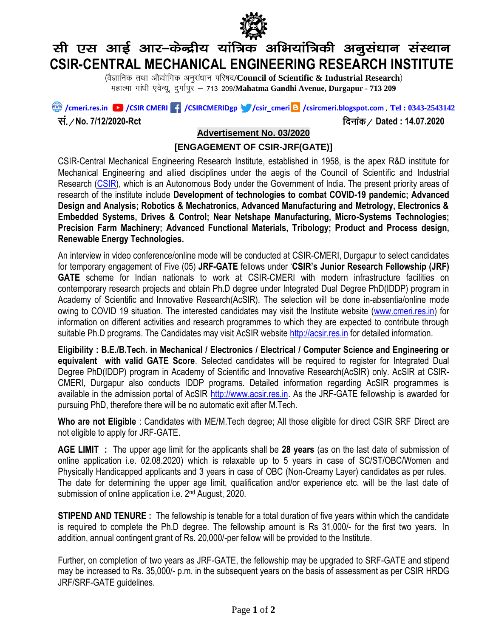

# सी एस आई आर–केन्द्रीय यांत्रिक अभियांत्रिकी अनुसंधान संस्थान **CSIR-CENTRAL MECHANICAL ENGINEERING RESEARCH INSTITUTE**

(वैज्ञानिक तथा औद्योगिक अनुसंधान परिषद/Council of Scientific **& Industrial Research**) महात्मा गांधी एवेन्यू, दुर्गापुर - 713 209/Mahatma Gandhi Avenue, Durgapur - 713 209

 **/cmeri.res.in /CSIR CMERI /CSIRCMERIDgp /csir\_cmeri /csircmeri.blogspot.com , Tel : 0343-2543142**

l a-@**No. 7/12/2020-Rct** fnukad@ **Dated : 14.07.2020**

## **Advertisement No. 03/2020**

#### **[ENGAGEMENT OF CSIR-JRF(GATE)]**

CSIR-Central Mechanical Engineering Research Institute, established in 1958, is the apex R&D institute for Mechanical Engineering and allied disciplines under the aegis of the Council of Scientific and Industrial Research [\(CSIR\)](http://www.csir.res.in/), which is an Autonomous Body under the Government of India. The present priority areas of research of the institute include **Development of technologies to combat COVID-19 pandemic; Advanced Design and Analysis; Robotics & Mechatronics, Advanced Manufacturing and Metrology, Electronics & Embedded Systems, Drives & Control; Near Netshape Manufacturing, Micro-Systems Technologies; Precision Farm Machinery; Advanced Functional Materials, Tribology; Product and Process design, Renewable Energy Technologies.**

An interview in video conference/online mode will be conducted at CSIR-CMERI, Durgapur to select candidates for temporary engagement of Five (05) **JRF-GATE** fellows under '**CSIR's Junior Research Fellowship (JRF) GATE** scheme for Indian nationals to work at CSIR-CMERI with modern infrastructure facilities on contemporary research projects and obtain Ph.D degree under Integrated Dual Degree PhD(IDDP) program in Academy of Scientific and Innovative Research(AcSIR). The selection will be done in-absentia/online mode owing to COVID 19 situation. The interested candidates may visit the Institute website [\(www.cmeri.res.in\)](http://www.cmeri.res.in/) for information on different activities and research programmes to which they are expected to contribute through suitable Ph.D programs. The Candidates may visit AcSIR website [http://acsir.res.in](http://acsir.res.in/) for detailed information.

**Eligibility : B.E./B.Tech. in Mechanical / Electronics / Electrical / Computer Science and Engineering or equivalent with valid GATE Score**. Selected candidates will be required to register for Integrated Dual Degree PhD(IDDP) program in Academy of Scientific and Innovative Research(AcSIR) only. AcSIR at CSIR-CMERI, Durgapur also conducts IDDP programs. Detailed information regarding AcSIR programmes is available in the admission portal of AcSIR [http://www.acsir.res.in.](http://www.acsir.res.in/) As the JRF-GATE fellowship is awarded for pursuing PhD, therefore there will be no automatic exit after M.Tech.

**Who are not Eligible** : Candidates with ME/M.Tech degree; All those eligible for direct CSIR SRF Direct are not eligible to apply for JRF-GATE.

**AGE LIMIT :** The upper age limit for the applicants shall be **28 years** (as on the last date of submission of online application i.e. 02.08.2020) which is relaxable up to 5 years in case of SC/ST/OBC/Women and Physically Handicapped applicants and 3 years in case of OBC (Non-Creamy Layer) candidates as per rules. The date for determining the upper age limit, qualification and/or experience etc. will be the last date of submission of online application i.e. 2<sup>nd</sup> August, 2020.

**STIPEND AND TENURE :** The fellowship is tenable for a total duration of five years within which the candidate is required to complete the Ph.D degree. The fellowship amount is Rs 31,000/- for the first two years. In addition, annual contingent grant of Rs. 20,000/-per fellow will be provided to the Institute.

Further, on completion of two years as JRF-GATE, the fellowship may be upgraded to SRF-GATE and stipend may be increased to Rs. 35,000/- p.m. in the subsequent years on the basis of assessment as per CSIR HRDG JRF/SRF-GATE guidelines.